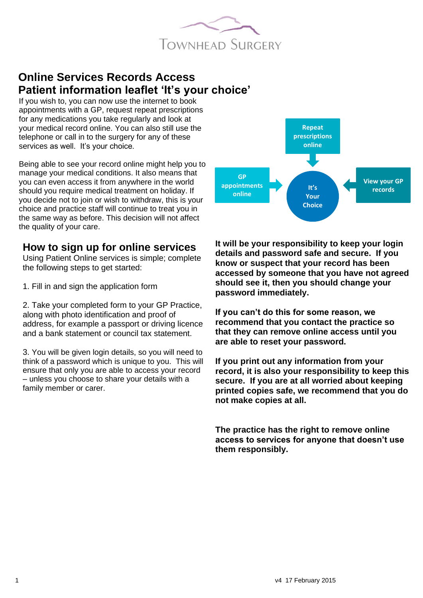

# **Online Services Records Access Patient information leaflet 'It's your choice'**

If you wish to, you can now use the internet to book appointments with a GP, request repeat prescriptions for any medications you take regularly and look at your medical record online. You can also still use the telephone or call in to the surgery for any of these services as well. It's your choice.

Being able to see your record online might help you to manage your medical conditions. It also means that you can even access it from anywhere in the world should you require medical treatment on holiday. If you decide not to join or wish to withdraw, this is your choice and practice staff will continue to treat you in the same way as before. This decision will not affect the quality of your care.

### **How to sign up for online services**

Using Patient Online services is simple; complete the following steps to get started:

1. Fill in and sign the application form

2. Take your completed form to your GP Practice, along with photo identification and proof of address, for example a passport or driving licence and a bank statement or council tax statement.

3. You will be given login details, so you will need to think of a password which is unique to you. This will ensure that only you are able to access your record – unless you choose to share your details with a family member or carer.



**It will be your responsibility to keep your login details and password safe and secure. If you know or suspect that your record has been accessed by someone that you have not agreed should see it, then you should change your password immediately.**

**If you can't do this for some reason, we recommend that you contact the practice so that they can remove online access until you are able to reset your password.**

**If you print out any information from your record, it is also your responsibility to keep this secure. If you are at all worried about keeping printed copies safe, we recommend that you do not make copies at all.** 

**The practice has the right to remove online access to services for anyone that doesn't use them responsibly.**